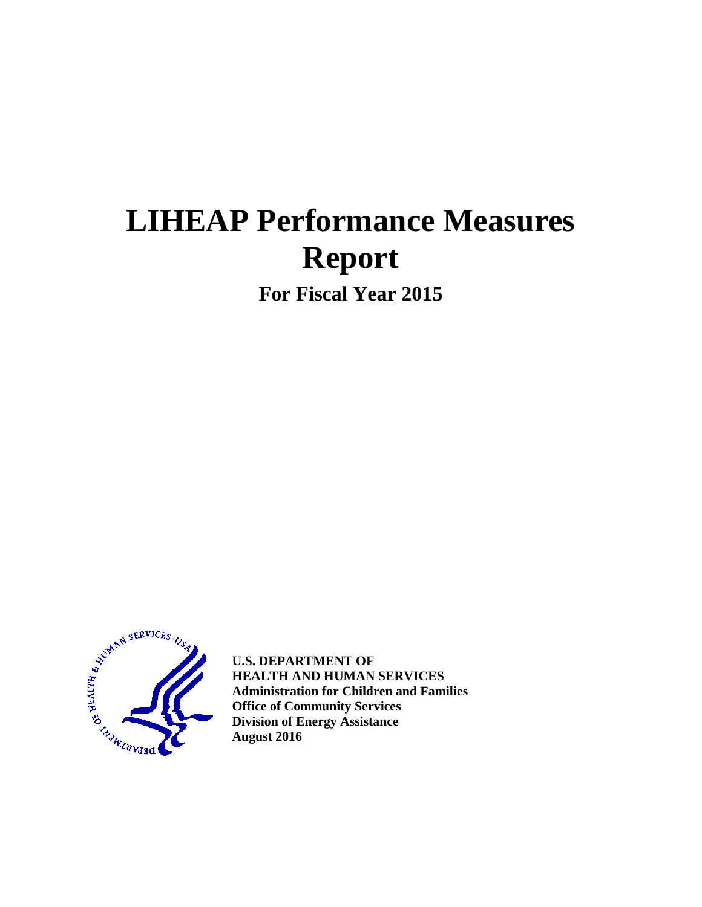# **LIHEAP Performance Measures Report**

**For Fiscal Year 2015**



**U.S. DEPARTMENT OF HEALTH AND HUMAN SERVICES Administration for Children and Families Office of Community Services Division of Energy Assistance August 2016**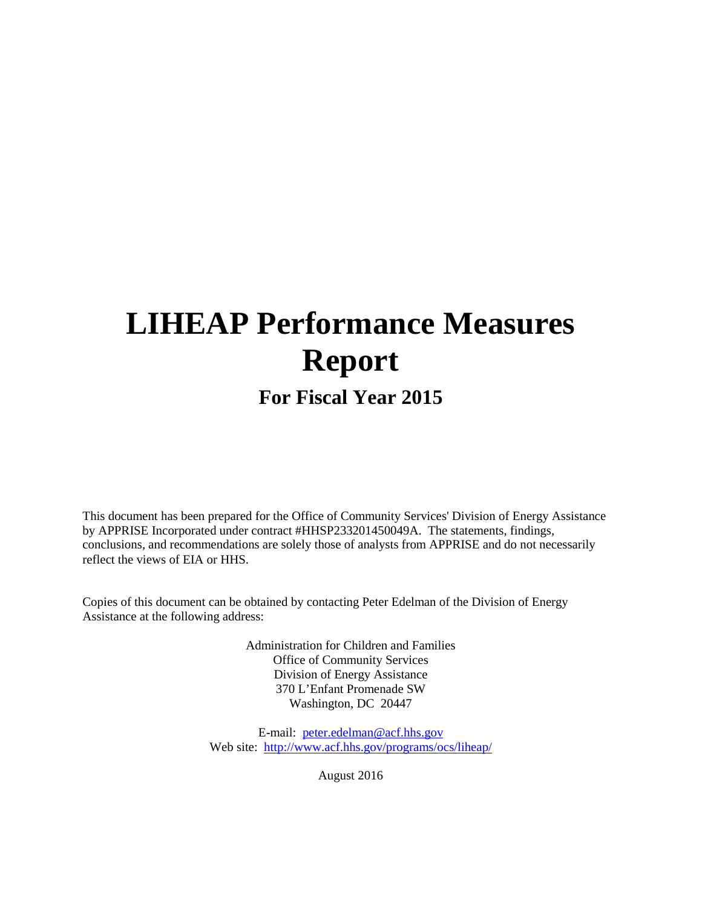# **LIHEAP Performance Measures Report**

# **For Fiscal Year 2015**

This document has been prepared for the Office of Community Services' Division of Energy Assistance by APPRISE Incorporated under contract #HHSP233201450049A. The statements, findings, conclusions, and recommendations are solely those of analysts from APPRISE and do not necessarily reflect the views of EIA or HHS.

Copies of this document can be obtained by contacting Peter Edelman of the Division of Energy Assistance at the following address:

> Administration for Children and Families Office of Community Services Division of Energy Assistance 370 L'Enfant Promenade SW Washington, DC 20447

E-mail: [peter.edelman@acf.hhs.gov](mailto:peter.edelman@acf.hhs.gov) Web site: <http://www.acf.hhs.gov/programs/ocs/liheap/>

August 2016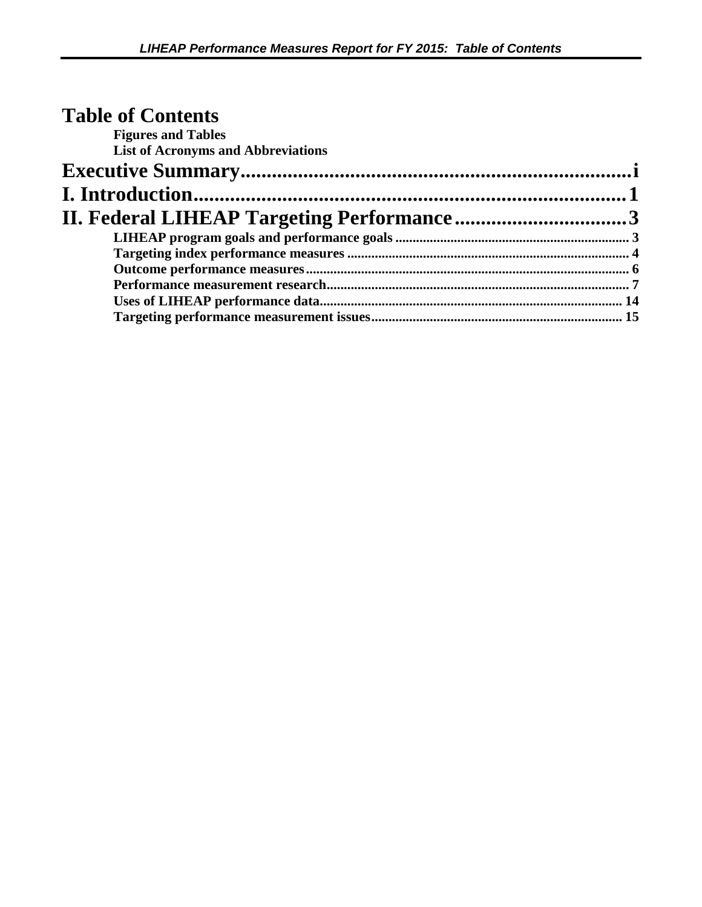| <b>Table of Contents</b>                  |  |
|-------------------------------------------|--|
| <b>Figures and Tables</b>                 |  |
| <b>List of Acronyms and Abbreviations</b> |  |
|                                           |  |
|                                           |  |
|                                           |  |
|                                           |  |
|                                           |  |
|                                           |  |
|                                           |  |
|                                           |  |
|                                           |  |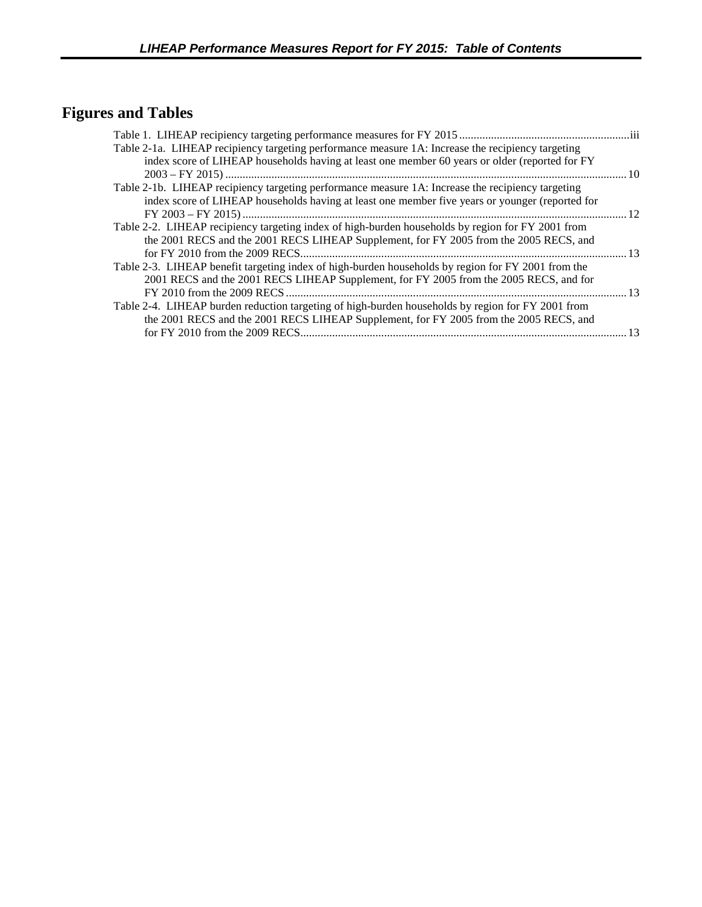# <span id="page-3-0"></span>**Figures and Tables**

| Table 2-1a. LIHEAP recipiency targeting performance measure 1A: Increase the recipiency targeting  |    |
|----------------------------------------------------------------------------------------------------|----|
| index score of LIHEAP households having at least one member 60 years or older (reported for FY     |    |
|                                                                                                    | 10 |
| Table 2-1b. LIHEAP recipiency targeting performance measure 1A: Increase the recipiency targeting  |    |
| index score of LIHEAP households having at least one member five years or younger (reported for    |    |
|                                                                                                    | 12 |
| Table 2-2. LIHEAP recipiency targeting index of high-burden households by region for FY 2001 from  |    |
| the 2001 RECS and the 2001 RECS LIHEAP Supplement, for FY 2005 from the 2005 RECS, and             |    |
|                                                                                                    | 13 |
| Table 2-3. LIHEAP benefit targeting index of high-burden households by region for FY 2001 from the |    |
| 2001 RECS and the 2001 RECS LIHEAP Supplement, for FY 2005 from the 2005 RECS, and for             |    |
| FY 2010 from the 2009 RECS                                                                         | 13 |
| Table 2-4. LIHEAP burden reduction targeting of high-burden households by region for FY 2001 from  |    |
| the 2001 RECS and the 2001 RECS LIHEAP Supplement, for FY 2005 from the 2005 RECS, and             |    |
|                                                                                                    | 13 |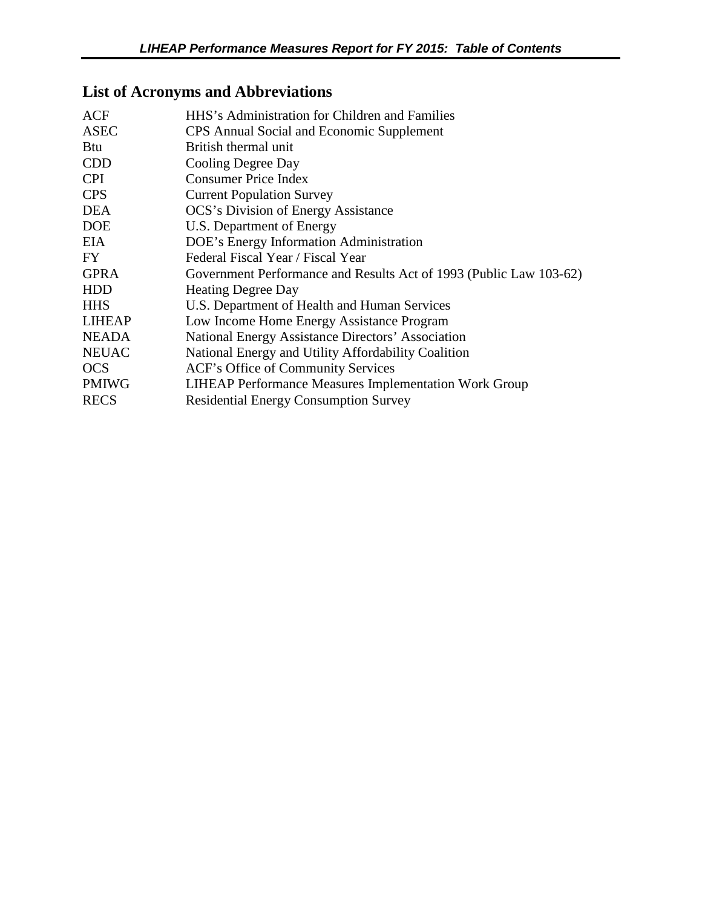# <span id="page-4-0"></span>**List of Acronyms and Abbreviations**

| ACF           | HHS's Administration for Children and Families                     |
|---------------|--------------------------------------------------------------------|
| <b>ASEC</b>   | CPS Annual Social and Economic Supplement                          |
| <b>Btu</b>    | British thermal unit                                               |
| <b>CDD</b>    | Cooling Degree Day                                                 |
| <b>CPI</b>    | <b>Consumer Price Index</b>                                        |
| <b>CPS</b>    | <b>Current Population Survey</b>                                   |
| <b>DEA</b>    | <b>OCS's Division of Energy Assistance</b>                         |
| <b>DOE</b>    | U.S. Department of Energy                                          |
| EIA           | DOE's Energy Information Administration                            |
| FY.           | Federal Fiscal Year / Fiscal Year                                  |
| <b>GPRA</b>   | Government Performance and Results Act of 1993 (Public Law 103-62) |
| <b>HDD</b>    | <b>Heating Degree Day</b>                                          |
| <b>HHS</b>    | U.S. Department of Health and Human Services                       |
| <b>LIHEAP</b> | Low Income Home Energy Assistance Program                          |
| <b>NEADA</b>  | National Energy Assistance Directors' Association                  |
| <b>NEUAC</b>  | National Energy and Utility Affordability Coalition                |
| <b>OCS</b>    | ACF's Office of Community Services                                 |
| <b>PMIWG</b>  | <b>LIHEAP Performance Measures Implementation Work Group</b>       |
| <b>RECS</b>   | <b>Residential Energy Consumption Survey</b>                       |
|               |                                                                    |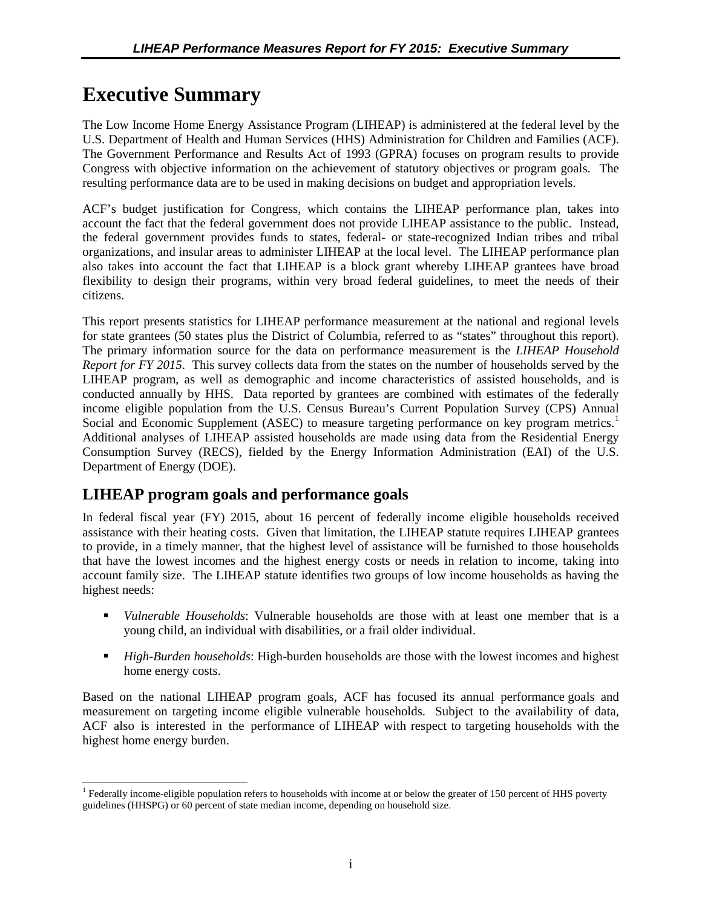# <span id="page-5-0"></span>**Executive Summary**

The Low Income Home Energy Assistance Program (LIHEAP) is administered at the federal level by the U.S. Department of Health and Human Services (HHS) Administration for Children and Families (ACF). The Government Performance and Results Act of 1993 (GPRA) focuses on program results to provide Congress with objective information on the achievement of statutory objectives or program goals. The resulting performance data are to be used in making decisions on budget and appropriation levels.

ACF's budget justification for Congress, which contains the LIHEAP performance plan, takes into account the fact that the federal government does not provide LIHEAP assistance to the public. Instead, the federal government provides funds to states, federal- or state-recognized Indian tribes and tribal organizations, and insular areas to administer LIHEAP at the local level. The LIHEAP performance plan also takes into account the fact that LIHEAP is a block grant whereby LIHEAP grantees have broad flexibility to design their programs, within very broad federal guidelines, to meet the needs of their citizens.

This report presents statistics for LIHEAP performance measurement at the national and regional levels for state grantees (50 states plus the District of Columbia, referred to as "states" throughout this report). The primary information source for the data on performance measurement is the *LIHEAP Household Report for FY 2015*. This survey collects data from the states on the number of households served by the LIHEAP program, as well as demographic and income characteristics of assisted households, and is conducted annually by HHS. Data reported by grantees are combined with estimates of the federally income eligible population from the U.S. Census Bureau's Current Population Survey (CPS) Annual Social and Economic Supplement (ASEC) to measure targeting performance on key program metrics.<sup>[1](#page-5-1)</sup> Additional analyses of LIHEAP assisted households are made using data from the Residential Energy Consumption Survey (RECS), fielded by the Energy Information Administration (EAI) of the U.S. Department of Energy (DOE).

# **LIHEAP program goals and performance goals**

In federal fiscal year (FY) 2015, about 16 percent of federally income eligible households received assistance with their heating costs. Given that limitation, the LIHEAP statute requires LIHEAP grantees to provide, in a timely manner, that the highest level of assistance will be furnished to those households that have the lowest incomes and the highest energy costs or needs in relation to income, taking into account family size. The LIHEAP statute identifies two groups of low income households as having the highest needs:

- *Vulnerable Households*: Vulnerable households are those with at least one member that is a young child, an individual with disabilities, or a frail older individual.
- *High-Burden households*: High-burden households are those with the lowest incomes and highest home energy costs.

Based on the national LIHEAP program goals, ACF has focused its annual performance goals and measurement on targeting income eligible vulnerable households. Subject to the availability of data, ACF also is interested in the performance of LIHEAP with respect to targeting households with the highest home energy burden.

<span id="page-5-1"></span><sup>&</sup>lt;sup>1</sup> Federally income-eligible population refers to households with income at or below the greater of 150 percent of HHS poverty guidelines (HHSPG) or 60 percent of state median income, depending on household size.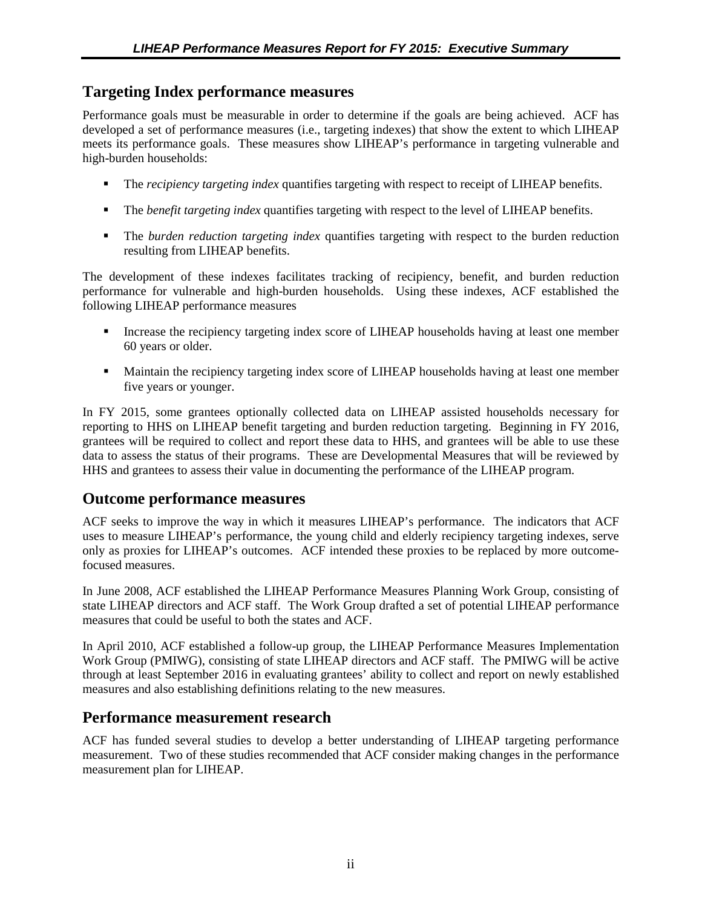## **Targeting Index performance measures**

Performance goals must be measurable in order to determine if the goals are being achieved. ACF has developed a set of performance measures (i.e., targeting indexes) that show the extent to which LIHEAP meets its performance goals. These measures show LIHEAP's performance in targeting vulnerable and high-burden households:

- The *recipiency targeting index* quantifies targeting with respect to receipt of LIHEAP benefits.
- The *benefit targeting index* quantifies targeting with respect to the level of LIHEAP benefits.
- The *burden reduction targeting index* quantifies targeting with respect to the burden reduction resulting from LIHEAP benefits.

The development of these indexes facilitates tracking of recipiency, benefit, and burden reduction performance for vulnerable and high-burden households. Using these indexes, ACF established the following LIHEAP performance measures

- Increase the recipiency targeting index score of LIHEAP households having at least one member 60 years or older.
- **Maintain the recipiency targeting index score of LIHEAP households having at least one member** five years or younger.

In FY 2015, some grantees optionally collected data on LIHEAP assisted households necessary for reporting to HHS on LIHEAP benefit targeting and burden reduction targeting. Beginning in FY 2016, grantees will be required to collect and report these data to HHS, and grantees will be able to use these data to assess the status of their programs. These are Developmental Measures that will be reviewed by HHS and grantees to assess their value in documenting the performance of the LIHEAP program.

## **Outcome performance measures**

ACF seeks to improve the way in which it measures LIHEAP's performance. The indicators that ACF uses to measure LIHEAP's performance, the young child and elderly recipiency targeting indexes, serve only as proxies for LIHEAP's outcomes. ACF intended these proxies to be replaced by more outcomefocused measures.

In June 2008, ACF established the LIHEAP Performance Measures Planning Work Group, consisting of state LIHEAP directors and ACF staff. The Work Group drafted a set of potential LIHEAP performance measures that could be useful to both the states and ACF.

In April 2010, ACF established a follow-up group, the LIHEAP Performance Measures Implementation Work Group (PMIWG), consisting of state LIHEAP directors and ACF staff. The PMIWG will be active through at least September 2016 in evaluating grantees' ability to collect and report on newly established measures and also establishing definitions relating to the new measures.

## **Performance measurement research**

ACF has funded several studies to develop a better understanding of LIHEAP targeting performance measurement. Two of these studies recommended that ACF consider making changes in the performance measurement plan for LIHEAP.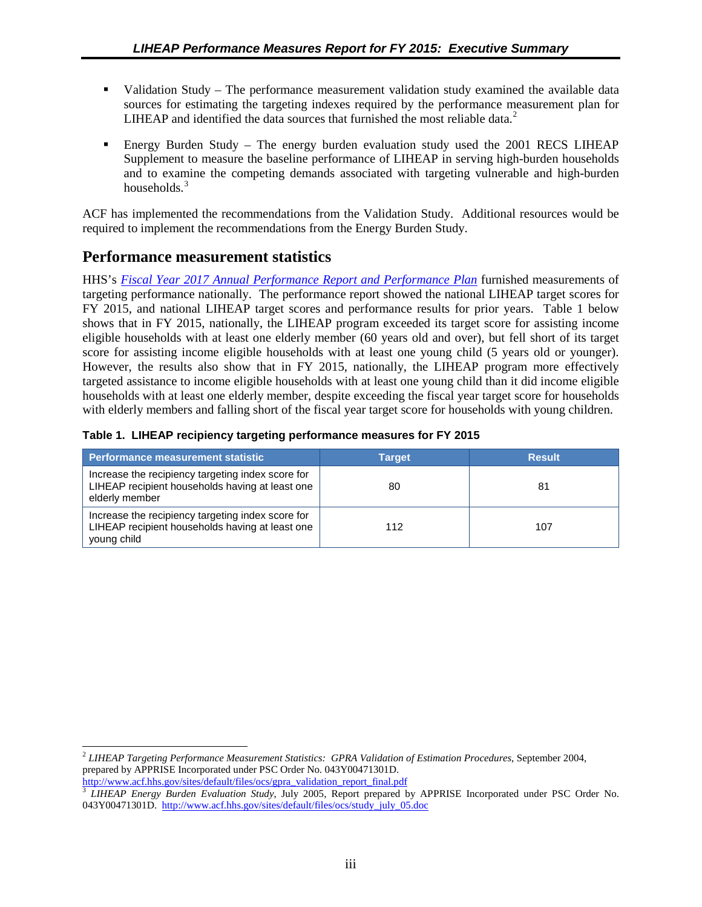- <span id="page-7-0"></span> Validation Study – The performance measurement validation study examined the available data sources for estimating the targeting indexes required by the performance measurement plan for LIHEAP and identified the data sources that furnished the most reliable data.<sup>[2](#page-7-1)</sup>
- Energy Burden Study The energy burden evaluation study used the 2001 RECS LIHEAP Supplement to measure the baseline performance of LIHEAP in serving high-burden households and to examine the competing demands associated with targeting vulnerable and high-burden households. $3$

ACF has implemented the recommendations from the Validation Study. Additional resources would be required to implement the recommendations from the Energy Burden Study.

# **Performance measurement statistics**

 $\overline{a}$ 

HHS's *[Fiscal Year 2017 Annual Performance Report and](http://www.hhs.gov/sites/default/files/fy2017-performance-plan_remediated.pdf) Performance Plan* furnished measurements of targeting performance nationally. The performance report showed the national LIHEAP target scores for FY 2015, and national LIHEAP target scores and performance results for prior years. Table 1 below shows that in FY 2015, nationally, the LIHEAP program exceeded its target score for assisting income eligible households with at least one elderly member (60 years old and over), but fell short of its target score for assisting income eligible households with at least one young child (5 years old or younger). However, the results also show that in FY 2015, nationally, the LIHEAP program more effectively targeted assistance to income eligible households with at least one young child than it did income eligible households with at least one elderly member, despite exceeding the fiscal year target score for households with elderly members and falling short of the fiscal year target score for households with young children.

|  |  | Table 1. LIHEAP recipiency targeting performance measures for FY 2015 |  |  |
|--|--|-----------------------------------------------------------------------|--|--|
|  |  |                                                                       |  |  |

| Performance measurement statistic                                                                                      | <b>Target</b> | <b>Result</b> |
|------------------------------------------------------------------------------------------------------------------------|---------------|---------------|
| Increase the recipiency targeting index score for<br>LIHEAP recipient households having at least one<br>elderly member | 80            | 81            |
| Increase the recipiency targeting index score for<br>LIHEAP recipient households having at least one<br>young child    | 112           | 107           |

<span id="page-7-1"></span><sup>2</sup> *LIHEAP Targeting Performance Measurement Statistics: GPRA Validation of Estimation Procedures*, September 2004, prepared by APPRISE Incorporated under PSC Order No. 043Y00471301D. [http://www.acf.hhs.gov/sites/default/files/ocs/gpra\\_validation\\_report\\_final.pdf](http://www.acf.hhs.gov/sites/default/files/ocs/gpra_validation_report_final.pdf)

<span id="page-7-2"></span><sup>3</sup> *LIHEAP Energy Burden Evaluation Study*, July 2005, Report prepared by APPRISE Incorporated under PSC Order No. 043Y00471301D. [http://www.acf.hhs.gov/sites/default/files/ocs/study\\_july\\_05.doc](http://www.acf.hhs.gov/sites/default/files/ocs/study_july_05.doc)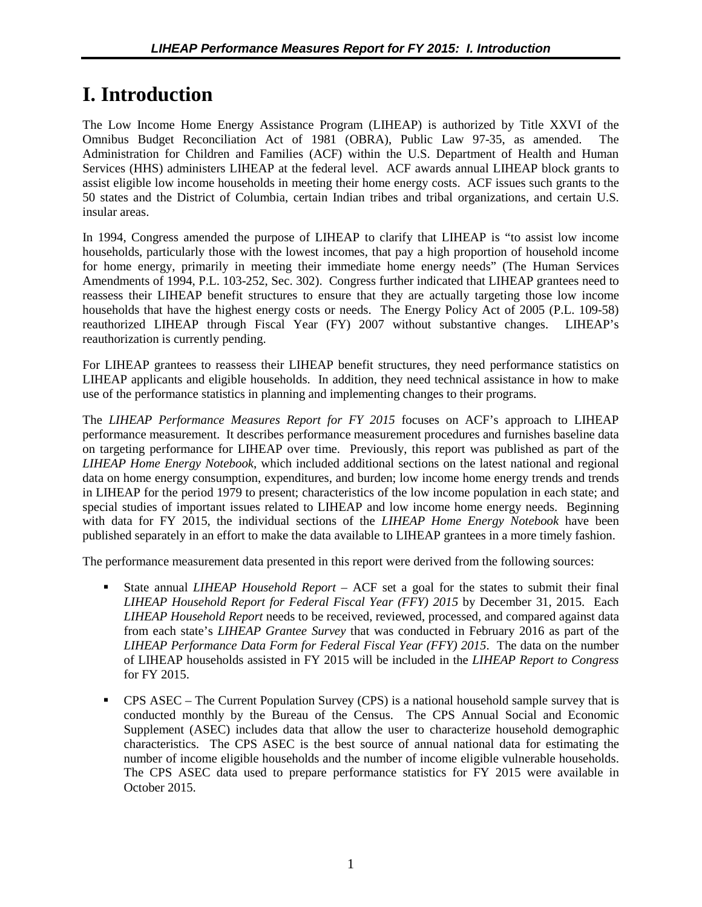# <span id="page-8-0"></span>**I. Introduction**

The Low Income Home Energy Assistance Program (LIHEAP) is authorized by Title XXVI of the Omnibus Budget Reconciliation Act of 1981 (OBRA), Public Law 97-35, as amended. Administration for Children and Families (ACF) within the U.S. Department of Health and Human Services (HHS) administers LIHEAP at the federal level. ACF awards annual LIHEAP block grants to assist eligible low income households in meeting their home energy costs. ACF issues such grants to the 50 states and the District of Columbia, certain Indian tribes and tribal organizations, and certain U.S. insular areas.

In 1994, Congress amended the purpose of LIHEAP to clarify that LIHEAP is "to assist low income households, particularly those with the lowest incomes, that pay a high proportion of household income for home energy, primarily in meeting their immediate home energy needs" (The Human Services Amendments of 1994, P.L. 103-252, Sec. 302). Congress further indicated that LIHEAP grantees need to reassess their LIHEAP benefit structures to ensure that they are actually targeting those low income households that have the highest energy costs or needs. The Energy Policy Act of 2005 (P.L. 109-58) reauthorized LIHEAP through Fiscal Year (FY) 2007 without substantive changes. LIHEAP's reauthorization is currently pending.

For LIHEAP grantees to reassess their LIHEAP benefit structures, they need performance statistics on LIHEAP applicants and eligible households. In addition, they need technical assistance in how to make use of the performance statistics in planning and implementing changes to their programs.

The *LIHEAP Performance Measures Report for FY 2015* focuses on ACF's approach to LIHEAP performance measurement. It describes performance measurement procedures and furnishes baseline data on targeting performance for LIHEAP over time. Previously, this report was published as part of the *LIHEAP Home Energy Notebook*, which included additional sections on the latest national and regional data on home energy consumption, expenditures, and burden; low income home energy trends and trends in LIHEAP for the period 1979 to present; characteristics of the low income population in each state; and special studies of important issues related to LIHEAP and low income home energy needs. Beginning with data for FY 2015, the individual sections of the *LIHEAP Home Energy Notebook* have been published separately in an effort to make the data available to LIHEAP grantees in a more timely fashion.

The performance measurement data presented in this report were derived from the following sources:

- State annual *LIHEAP Household Report* ACF set a goal for the states to submit their final *LIHEAP Household Report for Federal Fiscal Year (FFY) 2015* by December 31, 2015. Each *LIHEAP Household Report* needs to be received, reviewed, processed, and compared against data from each state's *LIHEAP Grantee Survey* that was conducted in February 2016 as part of the *LIHEAP Performance Data Form for Federal Fiscal Year (FFY) 2015*. The data on the number of LIHEAP households assisted in FY 2015 will be included in the *LIHEAP Report to Congress*  for FY 2015.
- CPS ASEC The Current Population Survey (CPS) is a national household sample survey that is conducted monthly by the Bureau of the Census. The CPS Annual Social and Economic Supplement (ASEC) includes data that allow the user to characterize household demographic characteristics. The CPS ASEC is the best source of annual national data for estimating the number of income eligible households and the number of income eligible vulnerable households. The CPS ASEC data used to prepare performance statistics for FY 2015 were available in October 2015.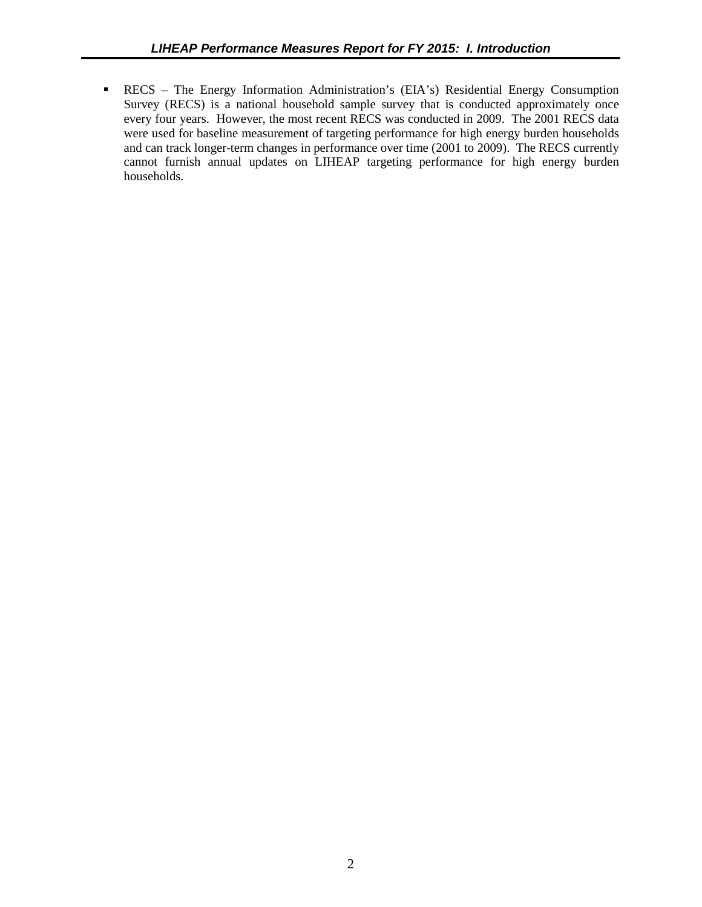RECS – The Energy Information Administration's (EIA's) Residential Energy Consumption Survey (RECS) is a national household sample survey that is conducted approximately once every four years. However, the most recent RECS was conducted in 2009. The 2001 RECS data were used for baseline measurement of targeting performance for high energy burden households and can track longer-term changes in performance over time (2001 to 2009). The RECS currently cannot furnish annual updates on LIHEAP targeting performance for high energy burden households.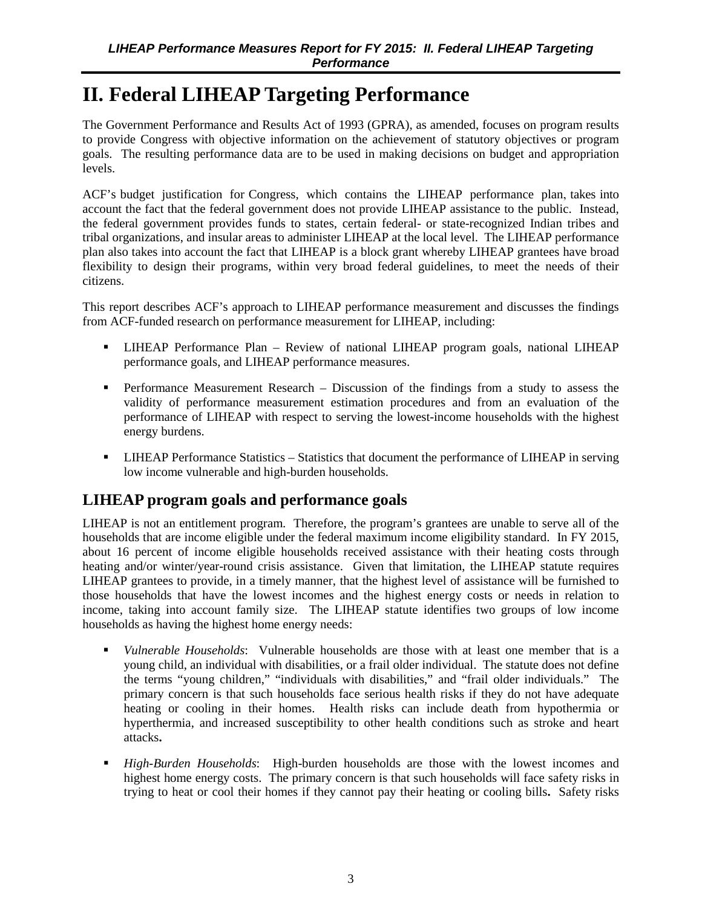# <span id="page-10-0"></span>**II. Federal LIHEAP Targeting Performance**

The Government Performance and Results Act of 1993 (GPRA), as amended, focuses on program results to provide Congress with objective information on the achievement of statutory objectives or program goals. The resulting performance data are to be used in making decisions on budget and appropriation levels.

ACF's budget justification for Congress, which contains the LIHEAP performance plan, takes into account the fact that the federal government does not provide LIHEAP assistance to the public. Instead, the federal government provides funds to states, certain federal- or state-recognized Indian tribes and tribal organizations, and insular areas to administer LIHEAP at the local level. The LIHEAP performance plan also takes into account the fact that LIHEAP is a block grant whereby LIHEAP grantees have broad flexibility to design their programs, within very broad federal guidelines, to meet the needs of their citizens.

This report describes ACF's approach to LIHEAP performance measurement and discusses the findings from ACF-funded research on performance measurement for LIHEAP, including:

- LIHEAP Performance Plan Review of national LIHEAP program goals, national LIHEAP performance goals, and LIHEAP performance measures.
- **Performance Measurement Research Discussion of the findings from a study to assess the** validity of performance measurement estimation procedures and from an evaluation of the performance of LIHEAP with respect to serving the lowest-income households with the highest energy burdens.
- LIHEAP Performance Statistics Statistics that document the performance of LIHEAP in serving low income vulnerable and high-burden households.

# **LIHEAP program goals and performance goals**

LIHEAP is not an entitlement program. Therefore, the program's grantees are unable to serve all of the households that are income eligible under the federal maximum income eligibility standard. In FY 2015, about 16 percent of income eligible households received assistance with their heating costs through heating and/or winter/year-round crisis assistance. Given that limitation, the LIHEAP statute requires LIHEAP grantees to provide, in a timely manner, that the highest level of assistance will be furnished to those households that have the lowest incomes and the highest energy costs or needs in relation to income, taking into account family size. The LIHEAP statute identifies two groups of low income households as having the highest home energy needs:

- *Vulnerable Households*: Vulnerable households are those with at least one member that is a young child, an individual with disabilities, or a frail older individual. The statute does not define the terms "young children," "individuals with disabilities," and "frail older individuals." The primary concern is that such households face serious health risks if they do not have adequate heating or cooling in their homes. Health risks can include death from hypothermia or hyperthermia, and increased susceptibility to other health conditions such as stroke and heart attacks**.**
- *High-Burden Households*: High-burden households are those with the lowest incomes and highest home energy costs. The primary concern is that such households will face safety risks in trying to heat or cool their homes if they cannot pay their heating or cooling bills**.** Safety risks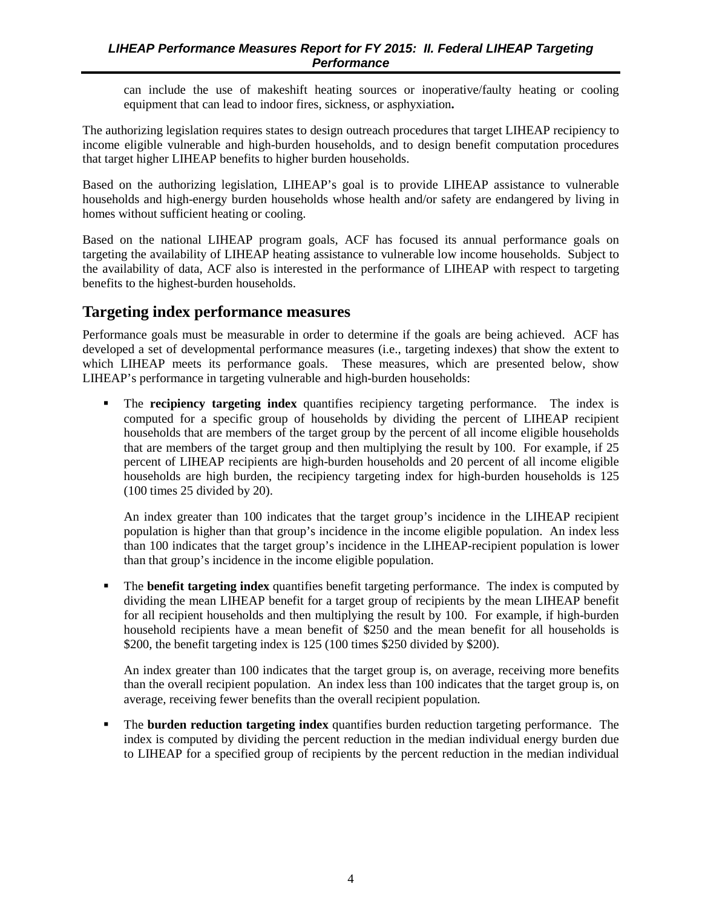<span id="page-11-0"></span>can include the use of makeshift heating sources or inoperative/faulty heating or cooling equipment that can lead to indoor fires, sickness, or asphyxiation**.**

The authorizing legislation requires states to design outreach procedures that target LIHEAP recipiency to income eligible vulnerable and high-burden households, and to design benefit computation procedures that target higher LIHEAP benefits to higher burden households.

Based on the authorizing legislation, LIHEAP's goal is to provide LIHEAP assistance to vulnerable households and high-energy burden households whose health and/or safety are endangered by living in homes without sufficient heating or cooling.

Based on the national LIHEAP program goals, ACF has focused its annual performance goals on targeting the availability of LIHEAP heating assistance to vulnerable low income households. Subject to the availability of data, ACF also is interested in the performance of LIHEAP with respect to targeting benefits to the highest-burden households.

## **Targeting index performance measures**

Performance goals must be measurable in order to determine if the goals are being achieved. ACF has developed a set of developmental performance measures (i.e., targeting indexes) that show the extent to which LIHEAP meets its performance goals. These measures, which are presented below, show LIHEAP's performance in targeting vulnerable and high-burden households:

 The **recipiency targeting index** quantifies recipiency targeting performance. The index is computed for a specific group of households by dividing the percent of LIHEAP recipient households that are members of the target group by the percent of all income eligible households that are members of the target group and then multiplying the result by 100. For example, if 25 percent of LIHEAP recipients are high-burden households and 20 percent of all income eligible households are high burden, the recipiency targeting index for high-burden households is 125 (100 times 25 divided by 20).

An index greater than 100 indicates that the target group's incidence in the LIHEAP recipient population is higher than that group's incidence in the income eligible population. An index less than 100 indicates that the target group's incidence in the LIHEAP-recipient population is lower than that group's incidence in the income eligible population.

 The **benefit targeting index** quantifies benefit targeting performance. The index is computed by dividing the mean LIHEAP benefit for a target group of recipients by the mean LIHEAP benefit for all recipient households and then multiplying the result by 100. For example, if high-burden household recipients have a mean benefit of \$250 and the mean benefit for all households is \$200, the benefit targeting index is 125 (100 times \$250 divided by \$200).

An index greater than 100 indicates that the target group is, on average, receiving more benefits than the overall recipient population. An index less than 100 indicates that the target group is, on average, receiving fewer benefits than the overall recipient population.

 The **burden reduction targeting index** quantifies burden reduction targeting performance. The index is computed by dividing the percent reduction in the median individual energy burden due to LIHEAP for a specified group of recipients by the percent reduction in the median individual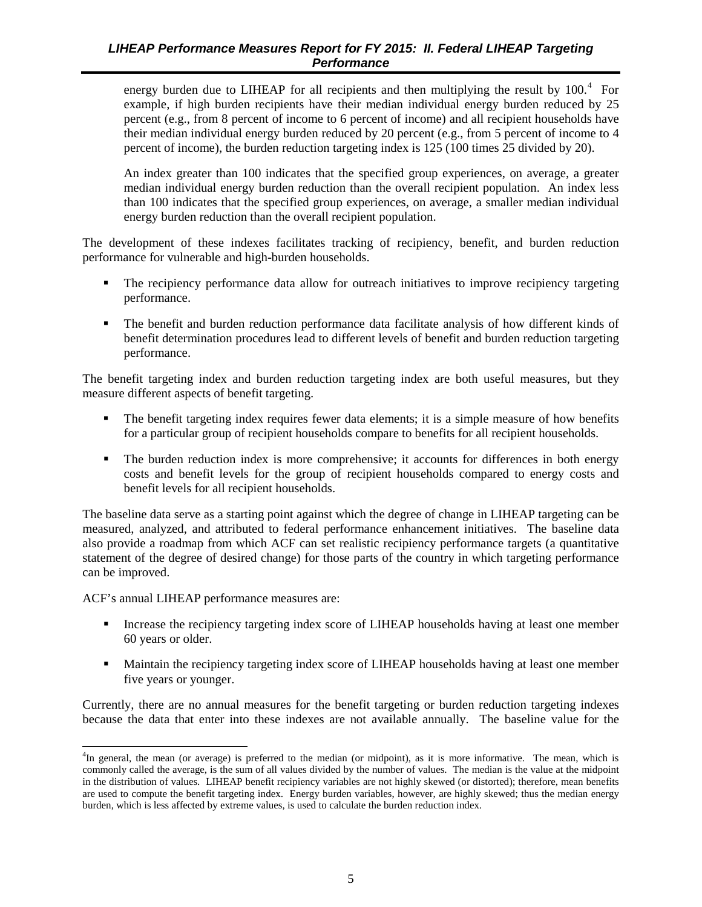energy burden due to LIHEAP for all recipients and then multiplying the result by 100.<sup>[4](#page-12-0)</sup> For example, if high burden recipients have their median individual energy burden reduced by 25 percent (e.g., from 8 percent of income to 6 percent of income) and all recipient households have their median individual energy burden reduced by 20 percent (e.g., from 5 percent of income to 4 percent of income), the burden reduction targeting index is 125 (100 times 25 divided by 20).

An index greater than 100 indicates that the specified group experiences, on average, a greater median individual energy burden reduction than the overall recipient population. An index less than 100 indicates that the specified group experiences, on average, a smaller median individual energy burden reduction than the overall recipient population.

The development of these indexes facilitates tracking of recipiency, benefit, and burden reduction performance for vulnerable and high-burden households.

- The recipiency performance data allow for outreach initiatives to improve recipiency targeting performance.
- The benefit and burden reduction performance data facilitate analysis of how different kinds of benefit determination procedures lead to different levels of benefit and burden reduction targeting performance.

The benefit targeting index and burden reduction targeting index are both useful measures, but they measure different aspects of benefit targeting.

- The benefit targeting index requires fewer data elements; it is a simple measure of how benefits for a particular group of recipient households compare to benefits for all recipient households.
- The burden reduction index is more comprehensive; it accounts for differences in both energy costs and benefit levels for the group of recipient households compared to energy costs and benefit levels for all recipient households.

The baseline data serve as a starting point against which the degree of change in LIHEAP targeting can be measured, analyzed, and attributed to federal performance enhancement initiatives. The baseline data also provide a roadmap from which ACF can set realistic recipiency performance targets (a quantitative statement of the degree of desired change) for those parts of the country in which targeting performance can be improved.

ACF's annual LIHEAP performance measures are:

- Increase the recipiency targeting index score of LIHEAP households having at least one member 60 years or older.
- **Maintain the recipiency targeting index score of LIHEAP households having at least one member** five years or younger.

Currently, there are no annual measures for the benefit targeting or burden reduction targeting indexes because the data that enter into these indexes are not available annually. The baseline value for the

<span id="page-12-0"></span><sup>&</sup>lt;sup>4</sup>In general, the mean (or average) is preferred to the median (or midpoint), as it is more informative. The mean, which is commonly called the average, is the sum of all values divided by the number of values. The median is the value at the midpoint in the distribution of values. LIHEAP benefit recipiency variables are not highly skewed (or distorted); therefore, mean benefits are used to compute the benefit targeting index. Energy burden variables, however, are highly skewed; thus the median energy burden, which is less affected by extreme values, is used to calculate the burden reduction index.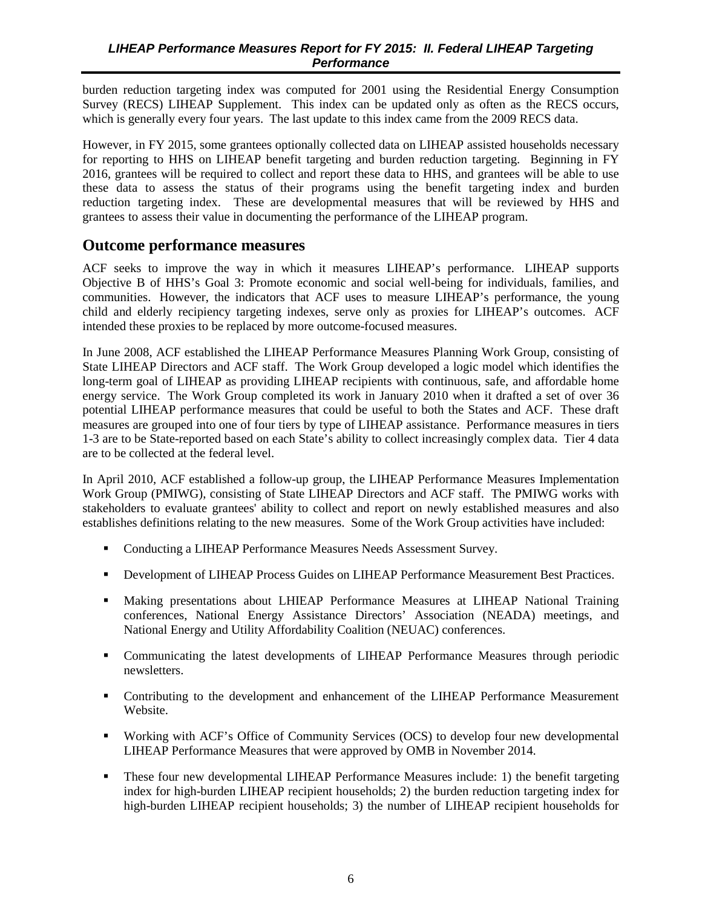<span id="page-13-0"></span>burden reduction targeting index was computed for 2001 using the Residential Energy Consumption Survey (RECS) LIHEAP Supplement. This index can be updated only as often as the RECS occurs, which is generally every four years. The last update to this index came from the 2009 RECS data.

However, in FY 2015, some grantees optionally collected data on LIHEAP assisted households necessary for reporting to HHS on LIHEAP benefit targeting and burden reduction targeting. Beginning in FY 2016, grantees will be required to collect and report these data to HHS, and grantees will be able to use these data to assess the status of their programs using the benefit targeting index and burden reduction targeting index. These are developmental measures that will be reviewed by HHS and grantees to assess their value in documenting the performance of the LIHEAP program.

### **Outcome performance measures**

ACF seeks to improve the way in which it measures LIHEAP's performance. LIHEAP supports Objective B of HHS's Goal 3: Promote economic and social well-being for individuals, families, and communities. However, the indicators that ACF uses to measure LIHEAP's performance, the young child and elderly recipiency targeting indexes, serve only as proxies for LIHEAP's outcomes. ACF intended these proxies to be replaced by more outcome-focused measures.

In June 2008, ACF established the LIHEAP Performance Measures Planning Work Group, consisting of State LIHEAP Directors and ACF staff. The Work Group developed a logic model which identifies the long-term goal of LIHEAP as providing LIHEAP recipients with continuous, safe, and affordable home energy service. The Work Group completed its work in January 2010 when it drafted a set of over 36 potential LIHEAP performance measures that could be useful to both the States and ACF. These draft measures are grouped into one of four tiers by type of LIHEAP assistance. Performance measures in tiers 1-3 are to be State-reported based on each State's ability to collect increasingly complex data. Tier 4 data are to be collected at the federal level.

In April 2010, ACF established a follow-up group, the LIHEAP Performance Measures Implementation Work Group (PMIWG), consisting of State LIHEAP Directors and ACF staff. The PMIWG works with stakeholders to evaluate grantees' ability to collect and report on newly established measures and also establishes definitions relating to the new measures. Some of the Work Group activities have included:

- Conducting a LIHEAP Performance Measures Needs Assessment Survey.
- Development of LIHEAP Process Guides on LIHEAP Performance Measurement Best Practices.
- Making presentations about LHIEAP Performance Measures at LIHEAP National Training conferences, National Energy Assistance Directors' Association (NEADA) meetings, and National Energy and Utility Affordability Coalition (NEUAC) conferences.
- Communicating the latest developments of LIHEAP Performance Measures through periodic newsletters.
- Contributing to the development and enhancement of the LIHEAP Performance Measurement Website.
- Working with ACF's Office of Community Services (OCS) to develop four new developmental LIHEAP Performance Measures that were approved by OMB in November 2014.
- These four new developmental LIHEAP Performance Measures include: 1) the benefit targeting index for high-burden LIHEAP recipient households; 2) the burden reduction targeting index for high-burden LIHEAP recipient households; 3) the number of LIHEAP recipient households for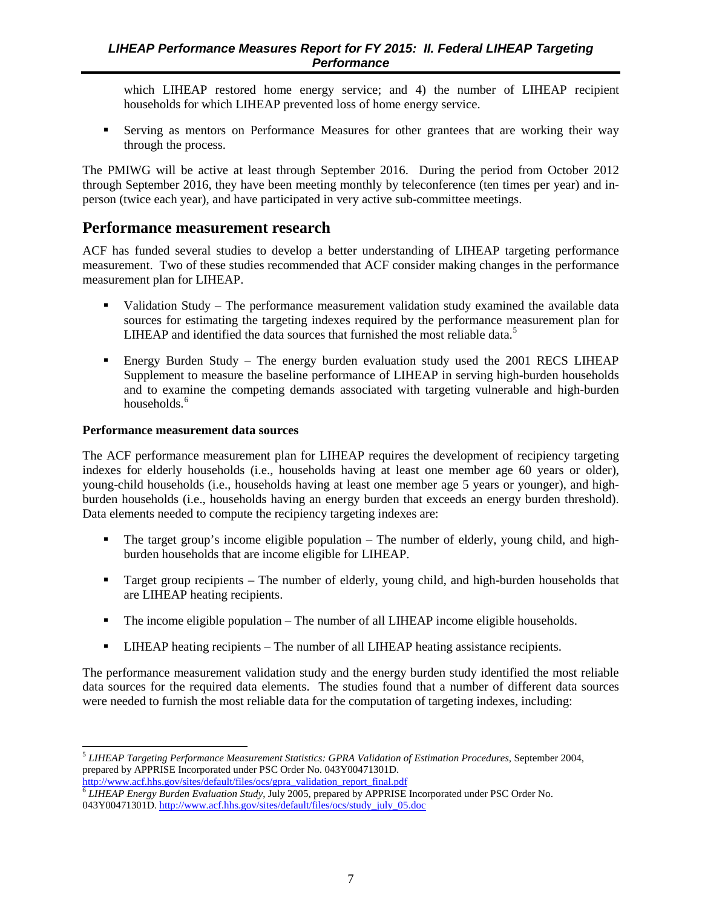<span id="page-14-0"></span>which LIHEAP restored home energy service; and 4) the number of LIHEAP recipient households for which LIHEAP prevented loss of home energy service.

 Serving as mentors on Performance Measures for other grantees that are working their way through the process.

The PMIWG will be active at least through September 2016. During the period from October 2012 through September 2016, they have been meeting monthly by teleconference (ten times per year) and inperson (twice each year), and have participated in very active sub-committee meetings.

### **Performance measurement research**

ACF has funded several studies to develop a better understanding of LIHEAP targeting performance measurement. Two of these studies recommended that ACF consider making changes in the performance measurement plan for LIHEAP.

- Validation Study The performance measurement validation study examined the available data sources for estimating the targeting indexes required by the performance measurement plan for LIHEAP and identified the data sources that furnished the most reliable data.<sup>[5](#page-14-1)</sup>
- Energy Burden Study The energy burden evaluation study used the 2001 RECS LIHEAP Supplement to measure the baseline performance of LIHEAP in serving high-burden households and to examine the competing demands associated with targeting vulnerable and high-burden households.<sup>[6](#page-14-2)</sup>

#### **Performance measurement data sources**

The ACF performance measurement plan for LIHEAP requires the development of recipiency targeting indexes for elderly households (i.e., households having at least one member age 60 years or older), young-child households (i.e., households having at least one member age 5 years or younger), and highburden households (i.e., households having an energy burden that exceeds an energy burden threshold). Data elements needed to compute the recipiency targeting indexes are:

- The target group's income eligible population The number of elderly, young child, and highburden households that are income eligible for LIHEAP.
- Target group recipients The number of elderly, young child, and high-burden households that are LIHEAP heating recipients.
- $\blacksquare$  The income eligible population The number of all LIHEAP income eligible households.
- LIHEAP heating recipients The number of all LIHEAP heating assistance recipients.

The performance measurement validation study and the energy burden study identified the most reliable data sources for the required data elements. The studies found that a number of different data sources were needed to furnish the most reliable data for the computation of targeting indexes, including:

<span id="page-14-1"></span><sup>5</sup> *LIHEAP Targeting Performance Measurement Statistics: GPRA Validation of Estimation Procedures*, September 2004, prepared by APPRISE Incorporated under PSC Order No. 043Y00471301D. [http://www.acf.hhs.gov/sites/default/files/ocs/gpra\\_validation\\_report\\_final.pdf](http://www.acf.hhs.gov/sites/default/files/ocs/gpra_validation_report_final.pdf) 

<span id="page-14-2"></span><sup>6</sup> *LIHEAP Energy Burden Evaluation Study*, July 2005, prepared by APPRISE Incorporated under PSC Order No. 043Y00471301D. [http://www.acf.hhs.gov/sites/default/files/ocs/study\\_july\\_05.doc](http://www.acf.hhs.gov/sites/default/files/ocs/study_july_05.doc)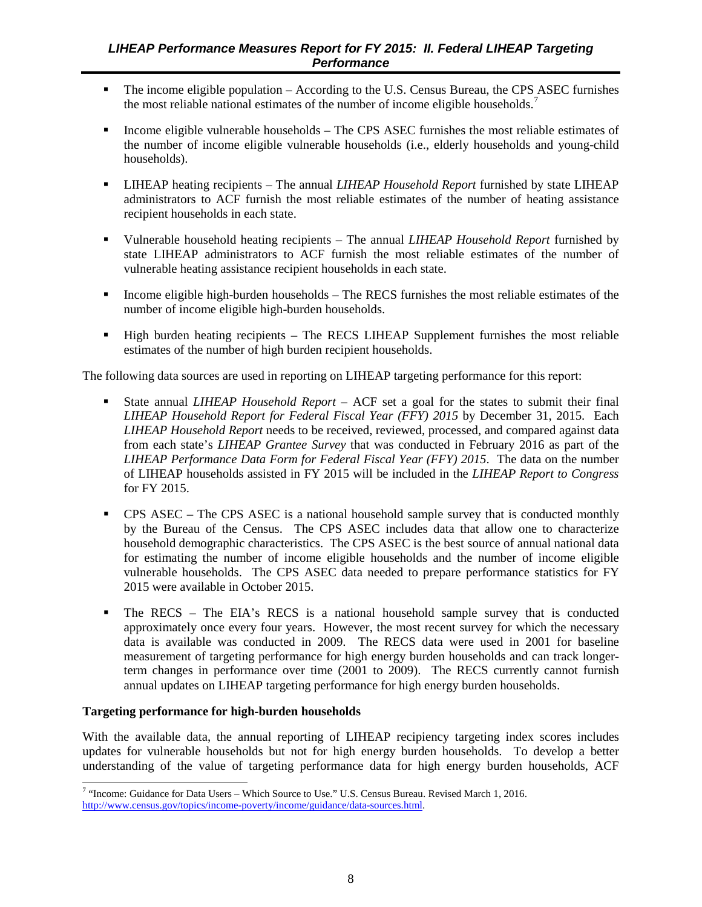- The income eligible population According to the U.S. Census Bureau, the CPS ASEC furnishes the most reliable national estimates of the number of income eligible households.<sup>[7](#page-15-0)</sup>
- $\blacksquare$  Income eligible vulnerable households The CPS ASEC furnishes the most reliable estimates of the number of income eligible vulnerable households (i.e., elderly households and young-child households).
- LIHEAP heating recipients The annual *LIHEAP Household Report* furnished by state LIHEAP administrators to ACF furnish the most reliable estimates of the number of heating assistance recipient households in each state.
- Vulnerable household heating recipients The annual *LIHEAP Household Report* furnished by state LIHEAP administrators to ACF furnish the most reliable estimates of the number of vulnerable heating assistance recipient households in each state.
- Income eligible high-burden households The RECS furnishes the most reliable estimates of the number of income eligible high-burden households.
- High burden heating recipients The RECS LIHEAP Supplement furnishes the most reliable estimates of the number of high burden recipient households.

The following data sources are used in reporting on LIHEAP targeting performance for this report:

- State annual *LIHEAP Household Report* ACF set a goal for the states to submit their final *LIHEAP Household Report for Federal Fiscal Year (FFY) 2015* by December 31, 2015. Each *LIHEAP Household Report* needs to be received, reviewed, processed, and compared against data from each state's *LIHEAP Grantee Survey* that was conducted in February 2016 as part of the *LIHEAP Performance Data Form for Federal Fiscal Year (FFY) 2015*. The data on the number of LIHEAP households assisted in FY 2015 will be included in the *LIHEAP Report to Congress* for FY 2015.
- CPS ASEC The CPS ASEC is a national household sample survey that is conducted monthly by the Bureau of the Census. The CPS ASEC includes data that allow one to characterize household demographic characteristics. The CPS ASEC is the best source of annual national data for estimating the number of income eligible households and the number of income eligible vulnerable households. The CPS ASEC data needed to prepare performance statistics for FY 2015 were available in October 2015.
- The RECS The EIA's RECS is a national household sample survey that is conducted approximately once every four years. However, the most recent survey for which the necessary data is available was conducted in 2009. The RECS data were used in 2001 for baseline measurement of targeting performance for high energy burden households and can track longerterm changes in performance over time (2001 to 2009). The RECS currently cannot furnish annual updates on LIHEAP targeting performance for high energy burden households.

#### **Targeting performance for high-burden households**

With the available data, the annual reporting of LIHEAP recipiency targeting index scores includes updates for vulnerable households but not for high energy burden households. To develop a better understanding of the value of targeting performance data for high energy burden households, ACF

<span id="page-15-0"></span><sup>7</sup> "Income: Guidance for Data Users – Which Source to Use." U.S. Census Bureau. Revised March 1, 2016. [http://www.census.gov/topics/income-poverty/income/guidance/data-sources.html.](http://www.census.gov/topics/income-poverty/income/guidance/data-sources.html)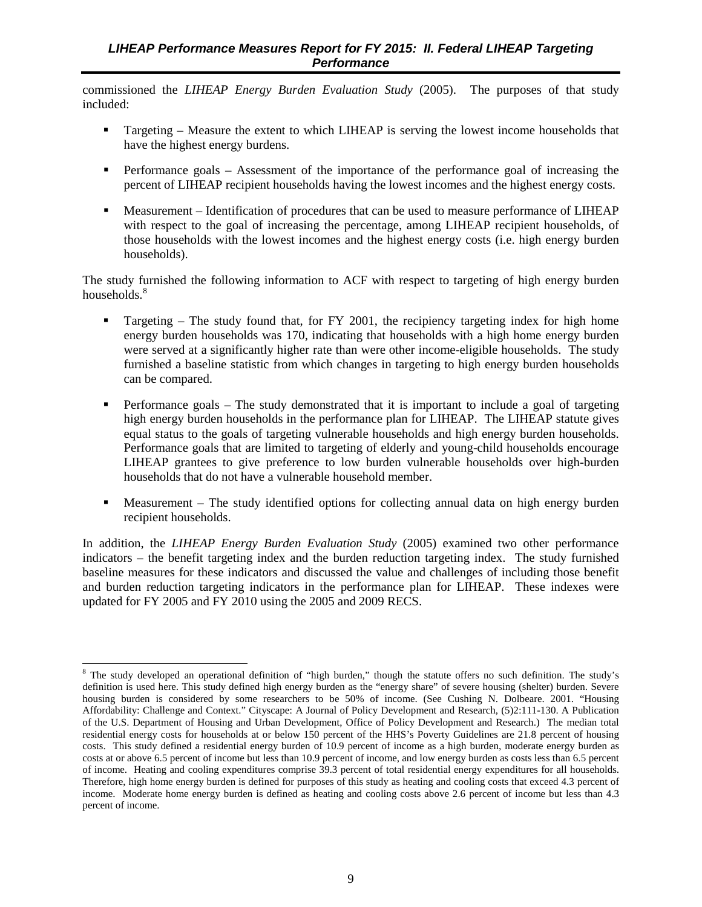commissioned the *LIHEAP Energy Burden Evaluation Study* (2005). The purposes of that study included:

- Targeting Measure the extent to which LIHEAP is serving the lowest income households that have the highest energy burdens.
- **Performance goals Assessment of the importance of the performance goal of increasing the** percent of LIHEAP recipient households having the lowest incomes and the highest energy costs.
- Measurement Identification of procedures that can be used to measure performance of LIHEAP with respect to the goal of increasing the percentage, among LIHEAP recipient households, of those households with the lowest incomes and the highest energy costs (i.e. high energy burden households).

The study furnished the following information to ACF with respect to targeting of high energy burden households.<sup>[8](#page-16-0)</sup>

- Targeting The study found that, for FY 2001, the recipiency targeting index for high home energy burden households was 170, indicating that households with a high home energy burden were served at a significantly higher rate than were other income-eligible households. The study furnished a baseline statistic from which changes in targeting to high energy burden households can be compared.
- Performance goals The study demonstrated that it is important to include a goal of targeting high energy burden households in the performance plan for LIHEAP. The LIHEAP statute gives equal status to the goals of targeting vulnerable households and high energy burden households. Performance goals that are limited to targeting of elderly and young-child households encourage LIHEAP grantees to give preference to low burden vulnerable households over high-burden households that do not have a vulnerable household member.
- Measurement The study identified options for collecting annual data on high energy burden recipient households.

In addition, the *LIHEAP Energy Burden Evaluation Study* (2005) examined two other performance indicators – the benefit targeting index and the burden reduction targeting index. The study furnished baseline measures for these indicators and discussed the value and challenges of including those benefit and burden reduction targeting indicators in the performance plan for LIHEAP. These indexes were updated for FY 2005 and FY 2010 using the 2005 and 2009 RECS.

<span id="page-16-0"></span><sup>&</sup>lt;sup>8</sup> The study developed an operational definition of "high burden," though the statute offers no such definition. The study's definition is used here. This study defined high energy burden as the "energy share" of severe housing (shelter) burden. Severe housing burden is considered by some researchers to be 50% of income. (See Cushing N. Dolbeare. 2001. "Housing Affordability: Challenge and Context." Cityscape: A Journal of Policy Development and Research, (5)2:111-130. A Publication of the U.S. Department of Housing and Urban Development, Office of Policy Development and Research.) The median total residential energy costs for households at or below 150 percent of the HHS's Poverty Guidelines are 21.8 percent of housing costs. This study defined a residential energy burden of 10.9 percent of income as a high burden, moderate energy burden as costs at or above 6.5 percent of income but less than 10.9 percent of income, and low energy burden as costs less than 6.5 percent of income. Heating and cooling expenditures comprise 39.3 percent of total residential energy expenditures for all households. Therefore, high home energy burden is defined for purposes of this study as heating and cooling costs that exceed 4.3 percent of income. Moderate home energy burden is defined as heating and cooling costs above 2.6 percent of income but less than 4.3 percent of income.  $\overline{a}$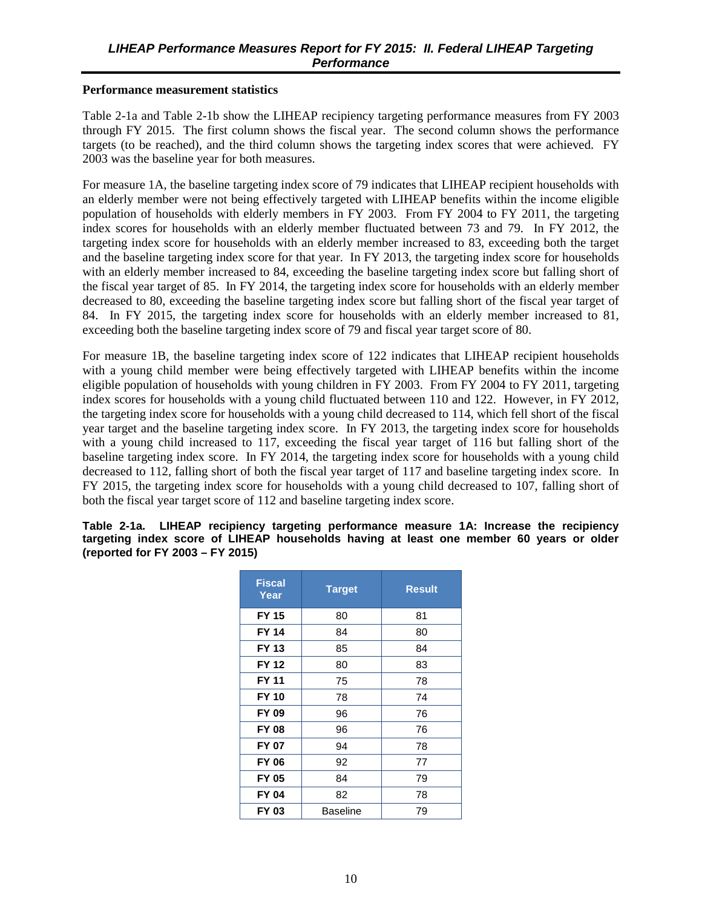#### <span id="page-17-0"></span>**Performance measurement statistics**

Table 2-1a and Table 2-1b show the LIHEAP recipiency targeting performance measures from FY 2003 through FY 2015. The first column shows the fiscal year. The second column shows the performance targets (to be reached), and the third column shows the targeting index scores that were achieved. FY 2003 was the baseline year for both measures.

For measure 1A, the baseline targeting index score of 79 indicates that LIHEAP recipient households with an elderly member were not being effectively targeted with LIHEAP benefits within the income eligible population of households with elderly members in FY 2003. From FY 2004 to FY 2011, the targeting index scores for households with an elderly member fluctuated between 73 and 79. In FY 2012, the targeting index score for households with an elderly member increased to 83, exceeding both the target and the baseline targeting index score for that year. In FY 2013, the targeting index score for households with an elderly member increased to 84, exceeding the baseline targeting index score but falling short of the fiscal year target of 85. In FY 2014, the targeting index score for households with an elderly member decreased to 80, exceeding the baseline targeting index score but falling short of the fiscal year target of 84. In FY 2015, the targeting index score for households with an elderly member increased to 81, exceeding both the baseline targeting index score of 79 and fiscal year target score of 80.

For measure 1B, the baseline targeting index score of 122 indicates that LIHEAP recipient households with a young child member were being effectively targeted with LIHEAP benefits within the income eligible population of households with young children in FY 2003. From FY 2004 to FY 2011, targeting index scores for households with a young child fluctuated between 110 and 122. However, in FY 2012, the targeting index score for households with a young child decreased to 114, which fell short of the fiscal year target and the baseline targeting index score. In FY 2013, the targeting index score for households with a young child increased to 117, exceeding the fiscal year target of 116 but falling short of the baseline targeting index score. In FY 2014, the targeting index score for households with a young child decreased to 112, falling short of both the fiscal year target of 117 and baseline targeting index score. In FY 2015, the targeting index score for households with a young child decreased to 107, falling short of both the fiscal year target score of 112 and baseline targeting index score.

**Table 2-1a. LIHEAP recipiency targeting performance measure 1A: Increase the recipiency targeting index score of LIHEAP households having at least one member 60 years or older (reported for FY 2003 – FY 2015)**

| <b>Fiscal</b><br>Year | <b>Target</b> | <b>Result</b> |
|-----------------------|---------------|---------------|
| <b>FY 15</b>          | 80            | 81            |
| <b>FY 14</b>          | 84            | 80            |
| FY 13                 | 85            | 84            |
| <b>FY 12</b>          | 80            | 83            |
| <b>FY 11</b>          | 75            | 78            |
| <b>FY 10</b>          | 78            | 74            |
| FY 09                 | 96            | 76            |
| <b>FY 08</b>          | 96            | 76            |
| FY 07                 | 94            | 78            |
| <b>FY 06</b>          | 92            | 77            |
| <b>FY 05</b>          | 84            | 79            |
| FY 04                 | 82            | 78            |
| FY 03                 | Baseline      | 79            |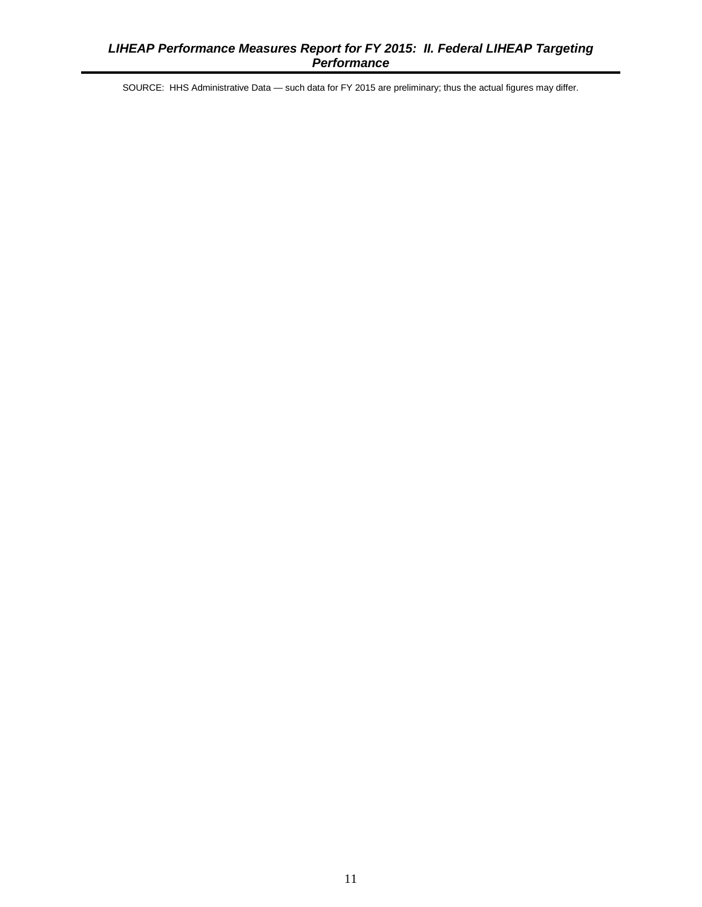SOURCE: HHS Administrative Data — such data for FY 2015 are preliminary; thus the actual figures may differ.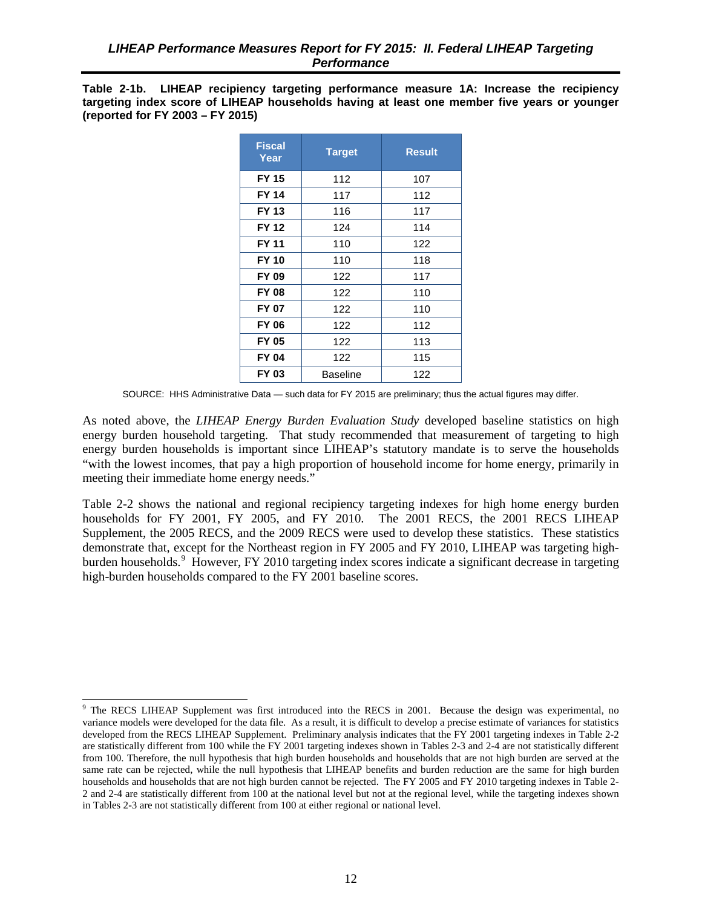<span id="page-19-0"></span>**Table 2-1b. LIHEAP recipiency targeting performance measure 1A: Increase the recipiency targeting index score of LIHEAP households having at least one member five years or younger (reported for FY 2003 – FY 2015)** 

| <b>Fiscal</b><br>Year | <b>Target</b> | <b>Result</b> |
|-----------------------|---------------|---------------|
| <b>FY 15</b>          | 112           | 107           |
| <b>FY 14</b>          | 117           | 112           |
| FY 13                 | 116           | 117           |
| <b>FY 12</b>          | 124           | 114           |
| FY 11                 | 110           | 122           |
| <b>FY 10</b>          | 110           | 118           |
| <b>FY 09</b>          | 122           | 117           |
| <b>FY 08</b>          | 122           | 110           |
| FY 07                 | 122           | 110           |
| FY 06                 | 122           | 112           |
| <b>FY 05</b>          | 122           | 113           |
| FY 04                 | 122           | 115           |
| FY 03                 | Baseline      | 122           |

SOURCE: HHS Administrative Data — such data for FY 2015 are preliminary; thus the actual figures may differ.

As noted above, the *LIHEAP Energy Burden Evaluation Study* developed baseline statistics on high energy burden household targeting. That study recommended that measurement of targeting to high energy burden households is important since LIHEAP's statutory mandate is to serve the households "with the lowest incomes, that pay a high proportion of household income for home energy, primarily in meeting their immediate home energy needs."

Table 2-2 shows the national and regional recipiency targeting indexes for high home energy burden households for FY 2001, FY 2005, and FY 2010. The 2001 RECS, the 2001 RECS LIHEAP Supplement, the 2005 RECS, and the 2009 RECS were used to develop these statistics. These statistics demonstrate that, except for the Northeast region in FY 2005 and FY 2010, LIHEAP was targeting high-burden households.<sup>[9](#page-19-1)</sup> However, FY 2010 targeting index scores indicate a significant decrease in targeting high-burden households compared to the FY 2001 baseline scores.

 $\overline{a}$ 

<span id="page-19-1"></span><sup>&</sup>lt;sup>9</sup> The RECS LIHEAP Supplement was first introduced into the RECS in 2001. Because the design was experimental, no variance models were developed for the data file. As a result, it is difficult to develop a precise estimate of variances for statistics developed from the RECS LIHEAP Supplement. Preliminary analysis indicates that the FY 2001 targeting indexes in Table 2-2 are statistically different from 100 while the FY 2001 targeting indexes shown in Tables 2-3 and 2-4 are not statistically different from 100. Therefore, the null hypothesis that high burden households and households that are not high burden are served at the same rate can be rejected, while the null hypothesis that LIHEAP benefits and burden reduction are the same for high burden households and households that are not high burden cannot be rejected. The FY 2005 and FY 2010 targeting indexes in Table 2- 2 and 2-4 are statistically different from 100 at the national level but not at the regional level, while the targeting indexes shown in Tables 2-3 are not statistically different from 100 at either regional or national level.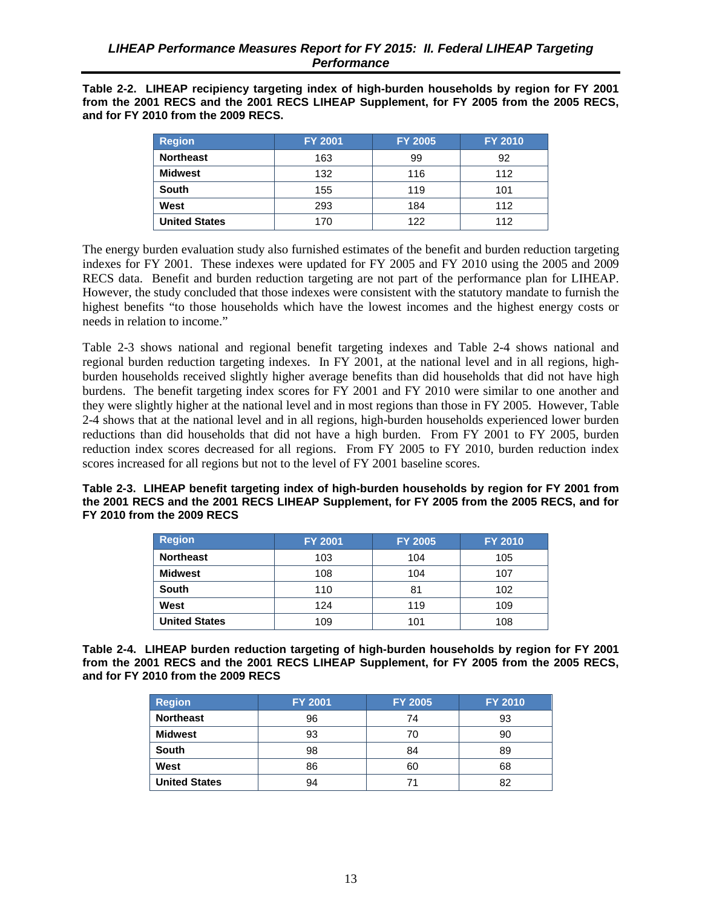<span id="page-20-0"></span>**Table 2-2. LIHEAP recipiency targeting index of high-burden households by region for FY 2001 from the 2001 RECS and the 2001 RECS LIHEAP Supplement, for FY 2005 from the 2005 RECS, and for FY 2010 from the 2009 RECS.** 

| <b>Region</b>        | <b>FY 2001</b> | <b>FY 2005</b> | <b>FY 2010</b> |
|----------------------|----------------|----------------|----------------|
| <b>Northeast</b>     | 163            | 99             | 92             |
| Midwest              | 132            | 116            | 112            |
| <b>South</b>         | 155            | 119            | 101            |
| West                 | 293            | 184            | 112            |
| <b>United States</b> | 170            | 122            | 112            |

The energy burden evaluation study also furnished estimates of the benefit and burden reduction targeting indexes for FY 2001. These indexes were updated for FY 2005 and FY 2010 using the 2005 and 2009 RECS data. Benefit and burden reduction targeting are not part of the performance plan for LIHEAP. However, the study concluded that those indexes were consistent with the statutory mandate to furnish the highest benefits "to those households which have the lowest incomes and the highest energy costs or needs in relation to income."

Table 2-3 shows national and regional benefit targeting indexes and Table 2-4 shows national and regional burden reduction targeting indexes. In FY 2001, at the national level and in all regions, highburden households received slightly higher average benefits than did households that did not have high burdens. The benefit targeting index scores for FY 2001 and FY 2010 were similar to one another and they were slightly higher at the national level and in most regions than those in FY 2005. However, Table 2-4 shows that at the national level and in all regions, high-burden households experienced lower burden reductions than did households that did not have a high burden. From FY 2001 to FY 2005, burden reduction index scores decreased for all regions. From FY 2005 to FY 2010, burden reduction index scores increased for all regions but not to the level of FY 2001 baseline scores.

**Table 2-3. LIHEAP benefit targeting index of high-burden households by region for FY 2001 from the 2001 RECS and the 2001 RECS LIHEAP Supplement, for FY 2005 from the 2005 RECS, and for FY 2010 from the 2009 RECS** 

| <b>Region</b>        | <b>FY 2001</b> | <b>FY 2005</b> | <b>FY 2010</b> |
|----------------------|----------------|----------------|----------------|
| <b>Northeast</b>     | 103            | 104            | 105            |
| <b>Midwest</b>       | 108            | 104            | 107            |
| <b>South</b>         | 110            | 81             | 102            |
| West                 | 124            | 119            | 109            |
| <b>United States</b> | 109            | 101            | 108            |

**Table 2-4. LIHEAP burden reduction targeting of high-burden households by region for FY 2001 from the 2001 RECS and the 2001 RECS LIHEAP Supplement, for FY 2005 from the 2005 RECS, and for FY 2010 from the 2009 RECS** 

| <b>Region</b>        | <b>FY 2001</b> | <b>FY 2005</b> | <b>FY 2010</b> |
|----------------------|----------------|----------------|----------------|
| <b>Northeast</b>     | 96             | 74             | 93             |
| <b>Midwest</b>       | 93             | 70             | 90             |
| <b>South</b>         | 98             | 84             | 89             |
| West                 | 86             | 60             | 68             |
| <b>United States</b> | 94             |                | 82             |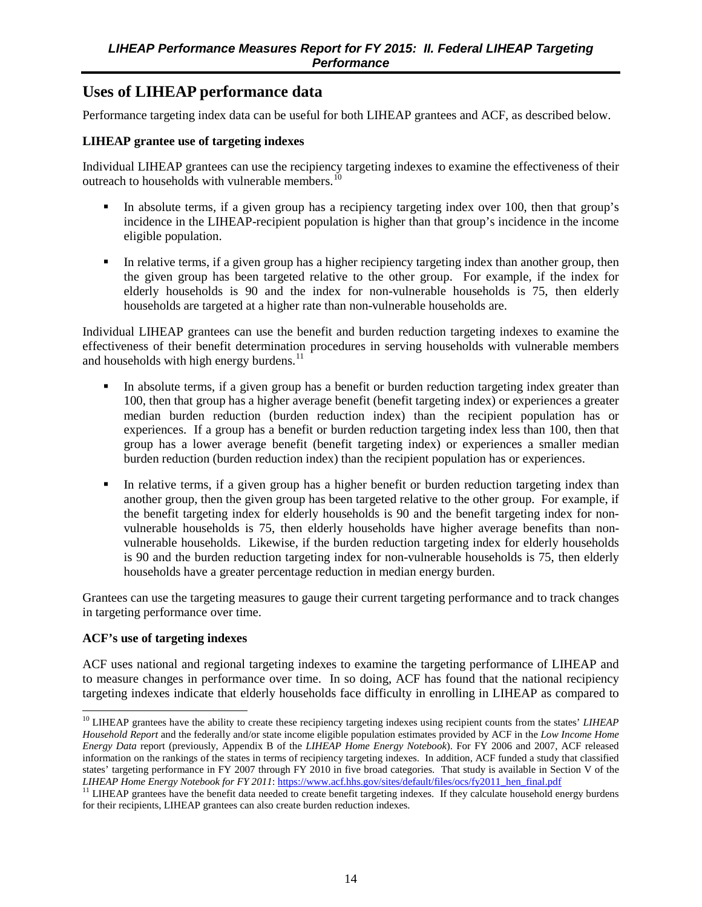## <span id="page-21-0"></span>**Uses of LIHEAP performance data**

Performance targeting index data can be useful for both LIHEAP grantees and ACF, as described below.

#### **LIHEAP grantee use of targeting indexes**

Individual LIHEAP grantees can use the recipiency targeting indexes to examine the effectiveness of their outreach to households with vulnerable members.<sup>[10](#page-21-1)</sup>

- In absolute terms, if a given group has a recipiency targeting index over 100, then that group's incidence in the LIHEAP-recipient population is higher than that group's incidence in the income eligible population.
- In relative terms, if a given group has a higher recipiency targeting index than another group, then the given group has been targeted relative to the other group. For example, if the index for elderly households is 90 and the index for non-vulnerable households is 75, then elderly households are targeted at a higher rate than non-vulnerable households are.

Individual LIHEAP grantees can use the benefit and burden reduction targeting indexes to examine the effectiveness of their benefit determination procedures in serving households with vulnerable members and households with high energy burdens.<sup>[11](#page-21-2)</sup>

- In absolute terms, if a given group has a benefit or burden reduction targeting index greater than 100, then that group has a higher average benefit (benefit targeting index) or experiences a greater median burden reduction (burden reduction index) than the recipient population has or experiences. If a group has a benefit or burden reduction targeting index less than 100, then that group has a lower average benefit (benefit targeting index) or experiences a smaller median burden reduction (burden reduction index) than the recipient population has or experiences.
- In relative terms, if a given group has a higher benefit or burden reduction targeting index than another group, then the given group has been targeted relative to the other group. For example, if the benefit targeting index for elderly households is 90 and the benefit targeting index for nonvulnerable households is 75, then elderly households have higher average benefits than nonvulnerable households. Likewise, if the burden reduction targeting index for elderly households is 90 and the burden reduction targeting index for non-vulnerable households is 75, then elderly households have a greater percentage reduction in median energy burden.

Grantees can use the targeting measures to gauge their current targeting performance and to track changes in targeting performance over time.

#### **ACF's use of targeting indexes**

ACF uses national and regional targeting indexes to examine the targeting performance of LIHEAP and to measure changes in performance over time. In so doing, ACF has found that the national recipiency targeting indexes indicate that elderly households face difficulty in enrolling in LIHEAP as compared to

<span id="page-21-1"></span><sup>&</sup>lt;sup>10</sup> LIHEAP grantees have the ability to create these recipiency targeting indexes using recipient counts from the states' *LIHEAP Household Report* and the federally and/or state income eligible population estimates provided by ACF in the *Low Income Home Energy Data* report (previously, Appendix B of the *LIHEAP Home Energy Notebook*). For FY 2006 and 2007, ACF released information on the rankings of the states in terms of recipiency targeting indexes. In addition, ACF funded a study that classified states' targeting performance in FY 2007 through FY 2010 in five broad categories. That study is available in Section V of the *LIHEAP Home Energy Notebook for FY 2011*: [https://www.acf.hhs.gov/sites/default/files/ocs/fy2011\\_hen\\_final.pdf](https://www.acf.hhs.gov/sites/default/files/ocs/fy2011_hen_final.pdf) 

<span id="page-21-2"></span> $11$  LIHEAP grantees have the benefit data needed to create benefit targeting indexes. If they calculate household energy burdens for their recipients, LIHEAP grantees can also create burden reduction indexes.